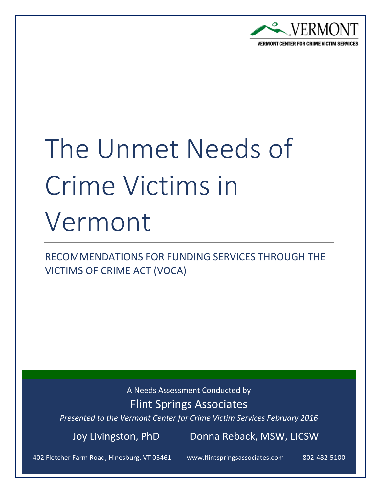

# The Unmet Needs of Crime Victims in Vermont

RECOMMENDATIONS FOR FUNDING SERVICES THROUGH THE VICTIMS OF CRIME ACT (VOCA)

A Needs Assessment Conducted by

Flint Springs Associates

*Presented to the Vermont Center for Crime Victim Services February 2016*

Joy Livingston, PhD Donna Reback, MSW, LICSW

402 Fletcher Farm Road, Hinesburg, VT 05461 www.flintspringsassociates.com

802-482-5100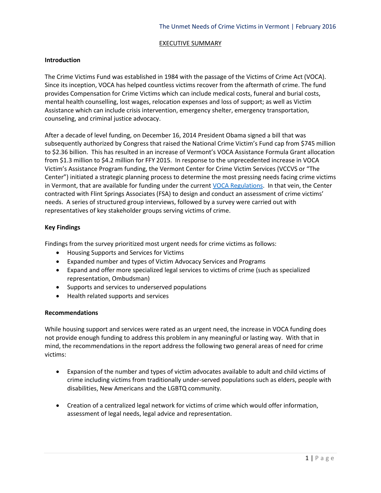#### EXECUTIVE SUMMARY

# **Introduction**

The Crime Victims Fund was established in 1984 with the passage of the Victims of Crime Act (VOCA). Since its inception, VOCA has helped countless victims recover from the aftermath of crime. The fund provides Compensation for Crime Victims which can include medical costs, funeral and burial costs, mental health counselling, lost wages, relocation expenses and loss of support; as well as Victim Assistance which can include crisis intervention, emergency shelter, emergency transportation, counseling, and criminal justice advocacy.

After a decade of level funding, on December 16, 2014 President Obama signed a bill that was subsequently authorized by Congress that raised the National Crime Victim's Fund cap from \$745 million to \$2.36 billion. This has resulted in an increase of Vermont's VOCA Assistance Formula Grant allocation from \$1.3 million to \$4.2 million for FFY 2015. In response to the unprecedented increase in VOCA Victim's Assistance Program funding, the Vermont Center for Crime Victim Services (VCCVS or "The Center") initiated a strategic planning process to determine the most pressing needs facing crime victims in Vermont, that are available for funding under the current [VOCA Regulations.](http://www.gpo.gov/fdsys/pkg/FR-1997-04-22/pdf/97-10403.pdf) In that vein, the Center contracted with Flint Springs Associates (FSA) to design and conduct an assessment of crime victims' needs. A series of structured group interviews, followed by a survey were carried out with representatives of key stakeholder groups serving victims of crime.

# **Key Findings**

Findings from the survey prioritized most urgent needs for crime victims as follows:

- Housing Supports and Services for Victims
- Expanded number and types of Victim Advocacy Services and Programs
- Expand and offer more specialized legal services to victims of crime (such as specialized representation, Ombudsman)
- Supports and services to underserved populations
- Health related supports and services

#### **Recommendations**

While housing support and services were rated as an urgent need, the increase in VOCA funding does not provide enough funding to address this problem in any meaningful or lasting way. With that in mind, the recommendations in the report address the following two general areas of need for crime victims:

- Expansion of the number and types of victim advocates available to adult and child victims of crime including victims from traditionally under-served populations such as elders, people with disabilities, New Americans and the LGBTQ community.
- Creation of a centralized legal network for victims of crime which would offer information, assessment of legal needs, legal advice and representation.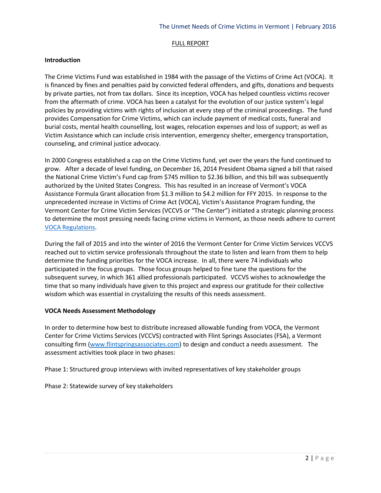# FULL REPORT

# **Introduction**

The Crime Victims Fund was established in 1984 with the passage of the Victims of Crime Act (VOCA). It is financed by fines and penalties paid by convicted federal offenders, and gifts, donations and bequests by private parties, not from tax dollars. Since its inception, VOCA has helped countless victims recover from the aftermath of crime. VOCA has been a catalyst for the evolution of our justice system's legal policies by providing victims with rights of inclusion at every step of the criminal proceedings. The fund provides Compensation for Crime Victims, which can include payment of medical costs, funeral and burial costs, mental health counselling, lost wages, relocation expenses and loss of support; as well as Victim Assistance which can include crisis intervention, emergency shelter, emergency transportation, counseling, and criminal justice advocacy.

In 2000 Congress established a cap on the Crime Victims fund, yet over the years the fund continued to grow. After a decade of level funding, on December 16, 2014 President Obama signed a bill that raised the National Crime Victim's Fund cap from \$745 million to \$2.36 billion, and this bill was subsequently authorized by the United States Congress. This has resulted in an increase of Vermont's VOCA Assistance Formula Grant allocation from \$1.3 million to \$4.2 million for FFY 2015. In response to the unprecedented increase in Victims of Crime Act (VOCA), Victim's Assistance Program funding, the Vermont Center for Crime Victim Services (VCCVS or "The Center") initiated a strategic planning process to determine the most pressing needs facing crime victims in Vermont, as those needs adhere to current [VOCA Regulations.](http://www.gpo.gov/fdsys/pkg/FR-1997-04-22/pdf/97-10403.pdf)

During the fall of 2015 and into the winter of 2016 the Vermont Center for Crime Victim Services VCCVS reached out to victim service professionals throughout the state to listen and learn from them to help determine the funding priorities for the VOCA increase. In all, there were 74 individuals who participated in the focus groups. Those focus groups helped to fine tune the questions for the subsequent survey, in which 361 allied professionals participated. VCCVS wishes to acknowledge the time that so many individuals have given to this project and express our gratitude for their collective wisdom which was essential in crystalizing the results of this needs assessment.

#### **VOCA Needs Assessment Methodology**

In order to determine how best to distribute increased allowable funding from VOCA, the Vermont Center for Crime Victims Services (VCCVS) contracted with Flint Springs Associates (FSA), a Vermont consulting firm [\(www.flintspringsassociates.com\)](http://www.flintspringsassociates.com/) to design and conduct a needs assessment. The assessment activities took place in two phases:

Phase 1: Structured group interviews with invited representatives of key stakeholder groups

Phase 2: Statewide survey of key stakeholders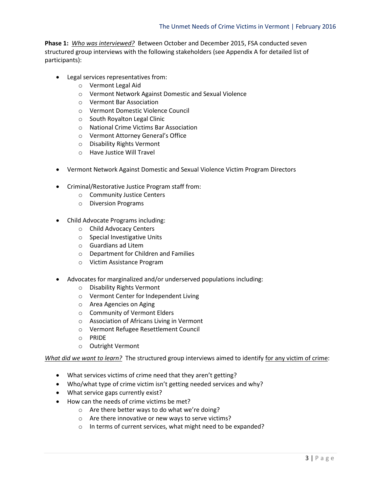**Phase 1:** *Who was interviewed?* Between October and December 2015, FSA conducted seven structured group interviews with the following stakeholders (see Appendix A for detailed list of participants):

- Legal services representatives from:
	- o Vermont Legal Aid
	- o Vermont Network Against Domestic and Sexual Violence
	- o Vermont Bar Association
	- o Vermont Domestic Violence Council
	- o South Royalton Legal Clinic
	- o National Crime Victims Bar Association
	- o Vermont Attorney General's Office
	- o Disability Rights Vermont
	- o Have Justice Will Travel
- Vermont Network Against Domestic and Sexual Violence Victim Program Directors
- Criminal/Restorative Justice Program staff from:
	- o Community Justice Centers
	- o Diversion Programs
- Child Advocate Programs including:
	- o Child Advocacy Centers
	- o Special Investigative Units
	- o Guardians ad Litem
	- o Department for Children and Families
	- o Victim Assistance Program
- Advocates for marginalized and/or underserved populations including:
	- o Disability Rights Vermont
	- o Vermont Center for Independent Living
	- o Area Agencies on Aging
	- o Community of Vermont Elders
	- o Association of Africans Living in Vermont
	- o Vermont Refugee Resettlement Council
	- o PRIDE
	- o Outright Vermont

*What did we want to learn?* The structured group interviews aimed to identify for any victim of crime:

- What services victims of crime need that they aren't getting?
- Who/what type of crime victim isn't getting needed services and why?
- What service gaps currently exist?
- How can the needs of crime victims be met?
	- o Are there better ways to do what we're doing?
	- o Are there innovative or new ways to serve victims?
	- o In terms of current services, what might need to be expanded?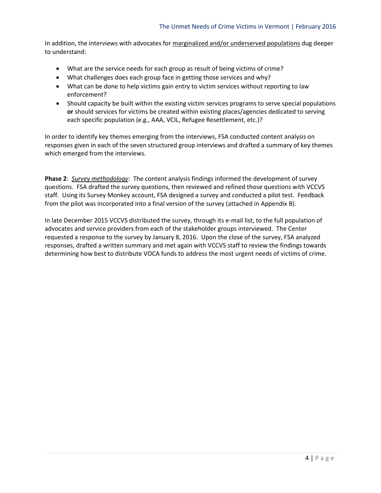In addition, the interviews with advocates for marginalized and/or underserved populations dug deeper to understand:

- What are the service needs for each group as result of being victims of crime?
- What challenges does each group face in getting those services and why?
- What can be done to help victims gain entry to victim services without reporting to law enforcement?
- Should capacity be built within the existing victim services programs to serve special populations **or** should services for victims be created within existing places/agencies dedicated to serving each specific population (e.g., AAA, VCIL, Refugee Resettlement, etc.)?

In order to identify key themes emerging from the interviews, FSA conducted content analysis on responses given in each of the seven structured group interviews and drafted a summary of key themes which emerged from the interviews.

**Phase 2**: *Survey methodology*: The content analysis findings informed the development of survey questions. FSA drafted the survey questions, then reviewed and refined those questions with VCCVS staff. Using its Survey Monkey account, FSA designed a survey and conducted a pilot test. Feedback from the pilot was incorporated into a final version of the survey (attached in Appendix B).

In late December 2015 VCCVS distributed the survey, through its e-mail list, to the full population of advocates and service providers from each of the stakeholder groups interviewed. The Center requested a response to the survey by January 8, 2016. Upon the close of the survey, FSA analyzed responses, drafted a written summary and met again with VCCVS staff to review the findings towards determining how best to distribute VOCA funds to address the most urgent needs of victims of crime.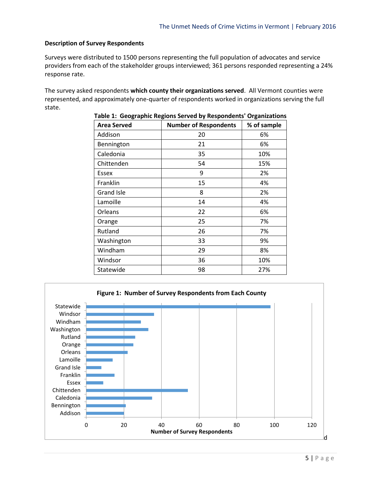#### **Description of Survey Respondents**

Surveys were distributed to 1500 persons representing the full population of advocates and service providers from each of the stakeholder groups interviewed; 361 persons responded representing a 24% response rate.

The survey asked respondents **which county their organizations served**. All Vermont counties were represented, and approximately one-quarter of respondents worked in organizations serving the full state.

| <b>Area Served</b> | <b>Number of Respondents</b> | % of sample |
|--------------------|------------------------------|-------------|
| Addison            | 20                           | 6%          |
| Bennington         | 21                           | 6%          |
| Caledonia          | 35                           | 10%         |
| Chittenden         | 54                           | 15%         |
| Essex              | 9                            | 2%          |
| Franklin           | 15                           | 4%          |
| <b>Grand Isle</b>  | 8                            | 2%          |
| Lamoille           | 14                           | 4%          |
| Orleans            | 22                           | 6%          |
| Orange             | 25                           | 7%          |
| Rutland            | 26                           | 7%          |
| Washington         | 33                           | 9%          |
| Windham            | 29                           | 8%          |
| Windsor            | 36                           | 10%         |
| Statewide          | 98                           | 27%         |

#### **Table 1: Geographic Regions Served by Respondents' Organizations**

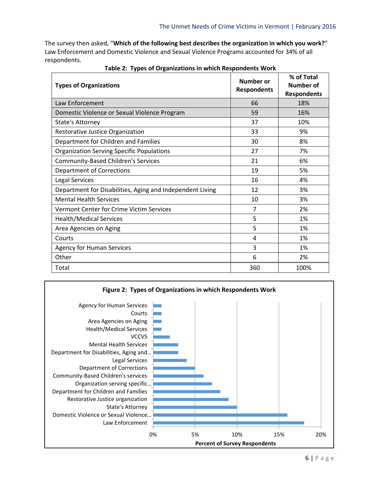The survey then asked, "**Which of the following best describes the organization in which you work?**" Law Enforcement and Domestic Violence and Sexual Violence Programs accounted for 34% of all respondents.

| <b>Types of Organizations</b>                             | Number or<br><b>Respondents</b> | % of Total<br>Number of<br><b>Respondents</b> |
|-----------------------------------------------------------|---------------------------------|-----------------------------------------------|
| Law Enforcement                                           | 66                              | 18%                                           |
| Domestic Violence or Sexual Violence Program              | 59                              | 16%                                           |
| State's Attorney                                          | 37                              | 10%                                           |
| Restorative Justice Organization                          | 33                              | 9%                                            |
| Department for Children and Families                      | 30                              | 8%                                            |
| <b>Organization Serving Specific Populations</b>          | 27                              | 7%                                            |
| <b>Community-Based Children's Services</b>                | 21                              | 6%                                            |
| Department of Corrections                                 | 19                              | 5%                                            |
| <b>Legal Services</b>                                     | 16                              | 4%                                            |
| Department for Disabilities, Aging and Independent Living | 12                              | 3%                                            |
| <b>Mental Health Services</b>                             | 10                              | 3%                                            |
| Vermont Center for Crime Victim Services                  | 7                               | 2%                                            |
| <b>Health/Medical Services</b>                            | 5                               | 1%                                            |
| Area Agencies on Aging                                    | 5                               | 1%                                            |
| Courts                                                    | 4                               | 1%                                            |
| <b>Agency for Human Services</b>                          | 3                               | 1%                                            |
| Other                                                     | 6                               | 2%                                            |
| Total                                                     | 360                             | 100%                                          |

**Table 2: Types of Organizations in which Respondents Work**

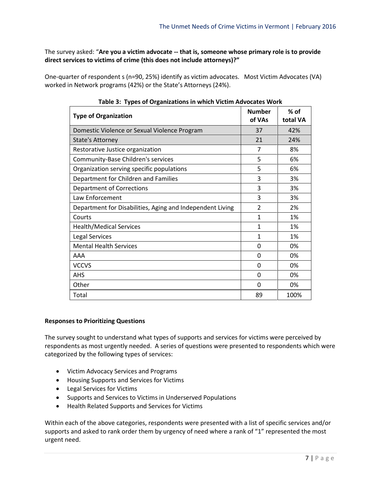The survey asked: "**Are you a victim advocate -- that is, someone whose primary role is to provide direct services to victims of crime (this does not include attorneys)?"**

One-quarter of respondent s (n=90, 25%) identify as victim advocates. Most Victim Advocates (VA) worked in Network programs (42%) or the State's Attorneys (24%).

| ----- <i>-</i> 11-------<br><b>Type of Organization</b>   | <b>Number</b><br>of VAs | $%$ of<br>total VA |
|-----------------------------------------------------------|-------------------------|--------------------|
| Domestic Violence or Sexual Violence Program              | 37                      | 42%                |
| <b>State's Attorney</b>                                   | 21                      | 24%                |
| Restorative Justice organization                          | 7                       | 8%                 |
| Community-Base Children's services                        | 5                       | 6%                 |
| Organization serving specific populations                 | 5                       | 6%                 |
| Department for Children and Families                      | 3                       | 3%                 |
| <b>Department of Corrections</b>                          | 3                       | 3%                 |
| Law Enforcement                                           | 3                       | 3%                 |
| Department for Disabilities, Aging and Independent Living | 2                       | 2%                 |
| Courts                                                    | 1                       | 1%                 |
| <b>Health/Medical Services</b>                            | 1                       | 1%                 |
| <b>Legal Services</b>                                     | 1                       | 1%                 |
| <b>Mental Health Services</b>                             | $\Omega$                | 0%                 |
| AAA                                                       | 0                       | 0%                 |
| <b>VCCVS</b>                                              | 0                       | 0%                 |
| <b>AHS</b>                                                | 0                       | 0%                 |
| Other                                                     | 0                       | 0%                 |
| Total                                                     | 89                      | 100%               |

# **Responses to Prioritizing Questions**

The survey sought to understand what types of supports and services for victims were perceived by respondents as most urgently needed. A series of questions were presented to respondents which were categorized by the following types of services:

- Victim Advocacy Services and Programs
- Housing Supports and Services for Victims
- Legal Services for Victims
- Supports and Services to Victims in Underserved Populations
- Health Related Supports and Services for Victims

Within each of the above categories, respondents were presented with a list of specific services and/or supports and asked to rank order them by urgency of need where a rank of "1" represented the most urgent need.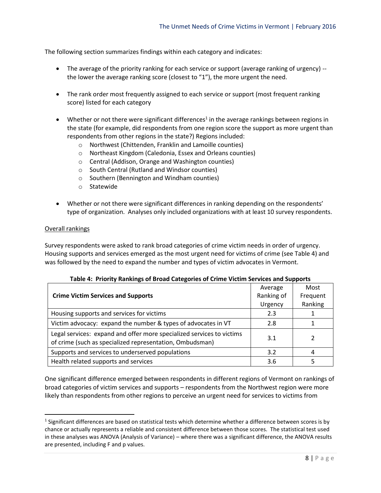The following section summarizes findings within each category and indicates:

- The average of the priority ranking for each service or support (average ranking of urgency) -the lower the average ranking score (closest to "1"), the more urgent the need.
- The rank order most frequently assigned to each service or support (most frequent ranking score) listed for each category
- $\bullet$  Whether or not there were significant differences<sup>1</sup> in the average rankings between regions in the state (for example, did respondents from one region score the support as more urgent than respondents from other regions in the state?) Regions included:
	- o Northwest (Chittenden, Franklin and Lamoille counties)
	- o Northeast Kingdom (Caledonia, Essex and Orleans counties)
	- o Central (Addison, Orange and Washington counties)
	- o South Central (Rutland and Windsor counties)
	- o Southern (Bennington and Windham counties)
	- o Statewide
- Whether or not there were significant differences in ranking depending on the respondents' type of organization. Analyses only included organizations with at least 10 survey respondents.

#### Overall rankings

 $\overline{a}$ 

Survey respondents were asked to rank broad categories of crime victim needs in order of urgency. Housing supports and services emerged as the most urgent need for victims of crime (see Table 4) and was followed by the need to expand the number and types of victim advocates in Vermont.

|                                                                                                                                   | Average    | Most     |  |
|-----------------------------------------------------------------------------------------------------------------------------------|------------|----------|--|
| <b>Crime Victim Services and Supports</b>                                                                                         | Ranking of | Frequent |  |
|                                                                                                                                   | Urgency    | Ranking  |  |
| Housing supports and services for victims                                                                                         | 2.3        |          |  |
| Victim advocacy: expand the number & types of advocates in VT                                                                     | 2.8        |          |  |
| Legal services: expand and offer more specialized services to victims<br>of crime (such as specialized representation, Ombudsman) | 3.1        |          |  |
| Supports and services to underserved populations                                                                                  | 3.2        | 4        |  |
| Health related supports and services                                                                                              | 3.6        |          |  |

One significant difference emerged between respondents in different regions of Vermont on rankings of broad categories of victim services and supports – respondents from the Northwest region were more likely than respondents from other regions to perceive an urgent need for services to victims from

<sup>&</sup>lt;sup>1</sup> Significant differences are based on statistical tests which determine whether a difference between scores is by chance or actually represents a reliable and consistent difference between those scores. The statistical test used in these analyses was ANOVA (Analysis of Variance) – where there was a significant difference, the ANOVA results are presented, including F and p values.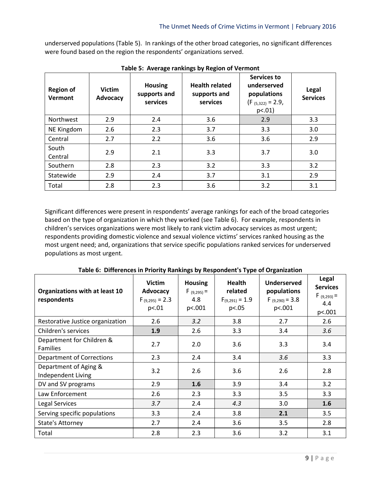underserved populations (Table 5). In rankings of the other broad categories, no significant differences were found based on the region the respondents' organizations served.

| <b>Region of</b><br>Vermont | <b>Victim</b><br>Advocacy | <b>Housing</b><br>supports and<br>services | <b>Health related</b><br>supports and<br>services | Services to<br>underserved<br>populations<br>$(F_{(5,322)} = 2.9,$<br>$p<.01$ ) | Legal<br><b>Services</b> |
|-----------------------------|---------------------------|--------------------------------------------|---------------------------------------------------|---------------------------------------------------------------------------------|--------------------------|
| Northwest                   | 2.9                       | 2.4                                        | 3.6                                               | 2.9                                                                             | 3.3                      |
| NE Kingdom                  | 2.6                       | 2.3                                        | 3.7                                               | 3.3                                                                             | 3.0                      |
| Central                     | 2.7                       | 2.2                                        | 3.6                                               | 3.6                                                                             | 2.9                      |
| South<br>Central            | 2.9                       | 2.1                                        | 3.3                                               | 3.7                                                                             | 3.0                      |
| Southern                    | 2.8                       | 2.3                                        | 3.2                                               | 3.3                                                                             | 3.2                      |
| Statewide                   | 2.9                       | 2.4                                        | 3.7                                               | 3.1                                                                             | 2.9                      |
| Total                       | 2.8                       | 2.3                                        | 3.6                                               | 3.2                                                                             | 3.1                      |

**Table 5: Average rankings by Region of Vermont**

Significant differences were present in respondents' average rankings for each of the broad categories based on the type of organization in which they worked (see Table 6). For example, respondents in children's services organizations were most likely to rank victim advocacy services as most urgent; respondents providing domestic violence and sexual violence victims' services ranked housing as the most urgent need; and, organizations that service specific populations ranked services for underserved populations as most urgent.

| Organizations with at least 10<br>respondents | <b>Victim</b><br><b>Advocacy</b><br>$F_{(9,295)} = 2.3$<br>p<.01 | <b>Housing</b><br>$F(9,295) =$<br>4.8<br>p<.001 | Health<br>related<br>$F_{(9,291)} = 1.9$<br>p<.05 | <b>Underserved</b><br>populations<br>$F_{(9,290)} = 3.8$<br>p<.001 | Legal<br><b>Services</b><br>$F(9,293) =$<br>4.4<br>p<.001 |
|-----------------------------------------------|------------------------------------------------------------------|-------------------------------------------------|---------------------------------------------------|--------------------------------------------------------------------|-----------------------------------------------------------|
| Restorative Justice organization              | 2.6                                                              | 3.2                                             | 3.8                                               | 2.7                                                                | 2.6                                                       |
| Children's services                           | 1.9                                                              | 2.6                                             | 3.3                                               | 3.4                                                                | 3.6                                                       |
| Department for Children &<br><b>Families</b>  | 2.7                                                              | 2.0                                             | 3.6                                               | 3.3                                                                | 3.4                                                       |
| Department of Corrections                     | 2.3                                                              | 2.4                                             | 3.4                                               | 3.6                                                                | 3.3                                                       |
| Department of Aging &<br>Independent Living   | 3.2                                                              | 2.6                                             | 3.6                                               | 2.6                                                                | 2.8                                                       |
| DV and SV programs                            | 2.9                                                              | 1.6                                             | 3.9                                               | 3.4                                                                | 3.2                                                       |
| Law Enforcement                               | 2.6                                                              | 2.3                                             | 3.3                                               | 3.5                                                                | 3.3                                                       |
| <b>Legal Services</b>                         | 3.7                                                              | 2.4                                             | 4.3                                               | 3.0                                                                | 1.6                                                       |
| Serving specific populations                  | 3.3                                                              | 2.4                                             | 3.8                                               | 2.1                                                                | 3.5                                                       |
| State's Attorney                              | 2.7                                                              | 2.4                                             | 3.6                                               | 3.5                                                                | 2.8                                                       |
| Total                                         | 2.8                                                              | 2.3                                             | 3.6                                               | 3.2                                                                | 3.1                                                       |

**Table 6: Differences in Priority Rankings by Respondent's Type of Organization**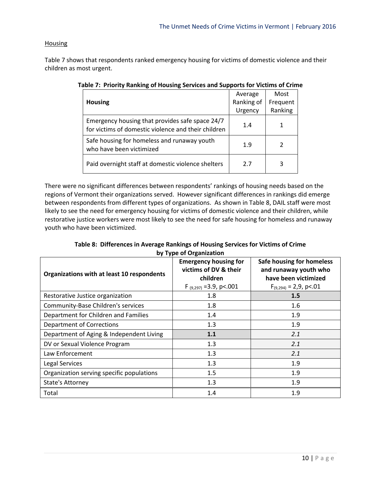# **Housing**

Table 7 shows that respondents ranked emergency housing for victims of domestic violence and their children as most urgent.

|                                                                                                        | Average    | Most     |
|--------------------------------------------------------------------------------------------------------|------------|----------|
| <b>Housing</b>                                                                                         | Ranking of | Frequent |
|                                                                                                        | Urgency    | Ranking  |
| Emergency housing that provides safe space 24/7<br>for victims of domestic violence and their children | 1.4        |          |
| Safe housing for homeless and runaway youth<br>who have been victimized                                | 1.9        | 2        |
| Paid overnight staff at domestic violence shelters                                                     | 2.7        | 3        |

**Table 7: Priority Ranking of Housing Services and Supports for Victims of Crime**

There were no significant differences between respondents' rankings of housing needs based on the regions of Vermont their organizations served. However significant differences in rankings did emerge between respondents from different types of organizations. As shown in Table 8, DAIL staff were most likely to see the need for emergency housing for victims of domestic violence and their children, while restorative justice workers were most likely to see the need for safe housing for homeless and runaway youth who have been victimized.

**Table 8: Differences in Average Rankings of Housing Services for Victims of Crime by Type of Organization**

| Organizations with at least 10 respondents | <b>Emergency housing for</b><br>victims of DV & their<br>children<br>F $(9,297)$ = 3.9, p < 001 | Safe housing for homeless<br>and runaway youth who<br>have been victimized<br>$F_{(9,294)} = 2,9$ , p<.01 |
|--------------------------------------------|-------------------------------------------------------------------------------------------------|-----------------------------------------------------------------------------------------------------------|
| Restorative Justice organization           | 1.8                                                                                             | 1.5                                                                                                       |
| <b>Community-Base Children's services</b>  | 1.8                                                                                             | 1.6                                                                                                       |
| Department for Children and Families       | 1.4                                                                                             | 1.9                                                                                                       |
| <b>Department of Corrections</b>           | 1.3                                                                                             | 1.9                                                                                                       |
| Department of Aging & Independent Living   | 1.1                                                                                             | 2.1                                                                                                       |
| DV or Sexual Violence Program              | 1.3                                                                                             | 2.1                                                                                                       |
| Law Enforcement                            | 1.3                                                                                             | 2.1                                                                                                       |
| Legal Services                             | 1.3                                                                                             | 1.9                                                                                                       |
| Organization serving specific populations  | 1.5                                                                                             | 1.9                                                                                                       |
| <b>State's Attorney</b>                    | 1.3                                                                                             | 1.9                                                                                                       |
| Total                                      | 1.4                                                                                             | 1.9                                                                                                       |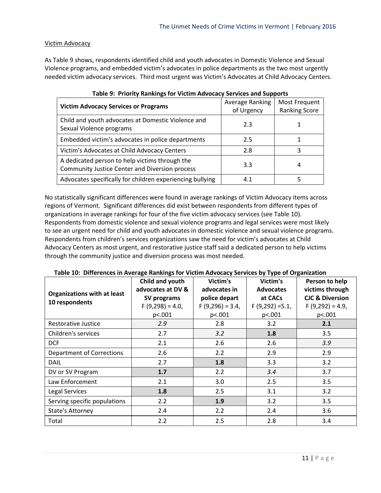# Victim Advocacy

As Table 9 shows, respondents identified child and youth advocates in Domestic Violence and Sexual Violence programs, and embedded victim's advocates in police departments as the two most urgently needed victim advocacy services. Third most urgent was Victim's Advocates at Child Advocacy Centers.

| <b>Victim Advocacy Services or Programs</b>                                                             | Average Ranking<br>of Urgency | Most Frequent<br><b>Ranking Score</b> |
|---------------------------------------------------------------------------------------------------------|-------------------------------|---------------------------------------|
| Child and youth advocates at Domestic Violence and<br>Sexual Violence programs                          | 2.3                           |                                       |
| Embedded victim's advocates in police departments                                                       | 2.5                           |                                       |
| Victim's Advocates at Child Advocacy Centers                                                            | 2.8                           | ঽ                                     |
| A dedicated person to help victims through the<br><b>Community Justice Center and Diversion process</b> | 3.3                           | 4                                     |
| Advocates specifically for children experiencing bullying                                               | 4.1                           | 5                                     |

|  |  |  | Table 9: Priority Rankings for Victim Advocacy Services and Supports |
|--|--|--|----------------------------------------------------------------------|
|--|--|--|----------------------------------------------------------------------|

No statistically significant differences were found in average rankings of Victim Advocacy items across regions of Vermont. Significant differences did exist between respondents from different types of organizations in average rankings for four of the five victim advocacy services (see Table 10). Respondents from domestic violence and sexual violence programs and legal services were most likely to see an urgent need for child and youth advocates in domestic violence and sexual violence programs. Respondents from children's services organizations saw the need for victim's advocates at Child Advocacy Centers as most urgent, and restorative justice staff said a dedicated person to help victims through the community justice and diversion process was most needed.

| Table 10: Differences in Average Rankings for Victim Advocacy Services by Type of Organization |  |  |  |
|------------------------------------------------------------------------------------------------|--|--|--|
|------------------------------------------------------------------------------------------------|--|--|--|

| <b>Organizations with at least</b><br>10 respondents | Child and youth<br>advocates at DV &<br>SV programs<br>$F(9,298) = 4.0$<br>p<.001 | Victim's<br>advocates in<br>police depart<br>$F(9,296) = 3.4$<br>p<.001 | Victim's<br><b>Advocates</b><br>at CACs<br>$F(9,292) = 5.1$<br>p<.001 | Person to help<br>victims through<br><b>CJC &amp; Diversion</b><br>$F(9,292) = 4.9$<br>p<.001 |
|------------------------------------------------------|-----------------------------------------------------------------------------------|-------------------------------------------------------------------------|-----------------------------------------------------------------------|-----------------------------------------------------------------------------------------------|
| Restorative Justice                                  | 2.9                                                                               | 2.8                                                                     | 3.2                                                                   | 2.1                                                                                           |
| Children's services                                  | 2.7                                                                               | 3.2                                                                     | 1.8                                                                   | 3.5                                                                                           |
| <b>DCF</b>                                           | 2.1                                                                               | 2.6                                                                     | 2.6                                                                   | 3.9                                                                                           |
| <b>Department of Corrections</b>                     | 2.6                                                                               | 2.2                                                                     | 2.9                                                                   | 2.9                                                                                           |
| <b>DAIL</b>                                          | 2.7                                                                               | 1.8                                                                     | 3.3                                                                   | 3.2                                                                                           |
| DV or SV Program                                     | 1.7                                                                               | 2.2                                                                     | 3.4                                                                   | 3.7                                                                                           |
| Law Enforcement                                      | 2.1                                                                               | 3.0                                                                     | 2.5                                                                   | 3.5                                                                                           |
| Legal Services                                       | 1.8                                                                               | 2.5                                                                     | 3.1                                                                   | 3.2                                                                                           |
| Serving specific populations                         | 2.2                                                                               | 1.9                                                                     | 3.2                                                                   | 3.5                                                                                           |
| State's Attorney                                     | 2.4                                                                               | 2.2                                                                     | 2.4                                                                   | 3.6                                                                                           |
| Total                                                | 2.2                                                                               | 2.5                                                                     | 2.8                                                                   | 3.4                                                                                           |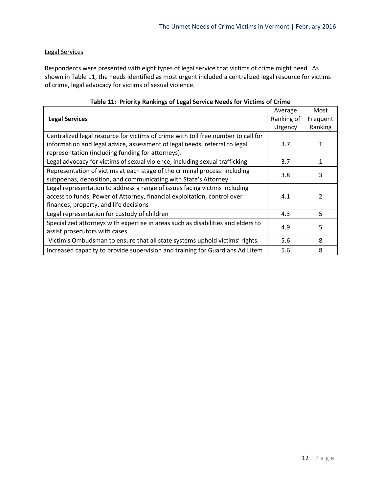# Legal Services

Respondents were presented with eight types of legal service that victims of crime might need. As shown in Table 11, the needs identified as most urgent included a centralized legal resource for victims of crime, legal advocacy for victims of sexual violence.

| $100 - 220$ and $1000 - 1000$ and $100 - 1000$ and $100 - 1000$ and $100 - 1000$  |            |          |  |  |
|-----------------------------------------------------------------------------------|------------|----------|--|--|
|                                                                                   | Average    | Most     |  |  |
| <b>Legal Services</b>                                                             | Ranking of | Frequent |  |  |
|                                                                                   | Urgency    | Ranking  |  |  |
| Centralized legal resource for victims of crime with toll free number to call for |            |          |  |  |
| information and legal advice, assessment of legal needs, referral to legal        | 3.7        | 1        |  |  |
| representation (including funding for attorneys).                                 |            |          |  |  |
| Legal advocacy for victims of sexual violence, including sexual trafficking       | 3.7        | 1        |  |  |
| Representation of victims at each stage of the criminal process: including        | 3.8        | 3        |  |  |
| subpoenas, deposition, and communicating with State's Attorney                    |            |          |  |  |
| Legal representation to address a range of issues facing victims including        |            |          |  |  |
| access to funds, Power of Attorney, financial exploitation, control over          | 4.1        | 2        |  |  |
| finances, property, and life decisions                                            |            |          |  |  |
| Legal representation for custody of children                                      | 4.3        | 5        |  |  |
| Specialized attorneys with expertise in areas such as disabilities and elders to  | 4.9        | 5        |  |  |
| assist prosecutors with cases                                                     |            |          |  |  |
| Victim's Ombudsman to ensure that all state systems uphold victims' rights.       | 5.6        | 8        |  |  |
| Increased capacity to provide supervision and training for Guardians Ad Litem     | 5.6        | 8        |  |  |

# **Table 11: Priority Rankings of Legal Service Needs for Victims of Crime**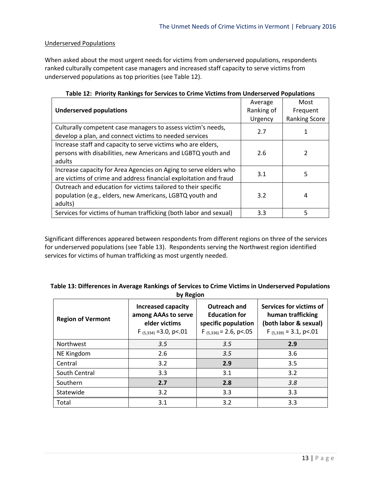# Underserved Populations

When asked about the most urgent needs for victims from underserved populations, respondents ranked culturally competent case managers and increased staff capacity to serve victims from underserved populations as top priorities (see Table 12).

|                                                                   | Average    | Most                 |
|-------------------------------------------------------------------|------------|----------------------|
| <b>Underserved populations</b>                                    | Ranking of | Frequent             |
|                                                                   | Urgency    | <b>Ranking Score</b> |
| Culturally competent case managers to assess victim's needs,      | 2.7        |                      |
| develop a plan, and connect victims to needed services            |            |                      |
| Increase staff and capacity to serve victims who are elders,      |            |                      |
| persons with disabilities, new Americans and LGBTQ youth and      | 2.6        | 2                    |
| adults                                                            |            |                      |
| Increase capacity for Area Agencies on Aging to serve elders who  | 3.1        | 5                    |
| are victims of crime and address financial exploitation and fraud |            |                      |
| Outreach and education for victims tailored to their specific     |            |                      |
| population (e.g., elders, new Americans, LGBTQ youth and          | 3.2        | 4                    |
| adults)                                                           |            |                      |
| Services for victims of human trafficking (both labor and sexual) | 3.3        | 5                    |

|  |  |  |  |  | Table 12: Priority Rankings for Services to Crime Victims from Underserved Populations |  |  |
|--|--|--|--|--|----------------------------------------------------------------------------------------|--|--|
|--|--|--|--|--|----------------------------------------------------------------------------------------|--|--|

Significant differences appeared between respondents from different regions on three of the services for underserved populations (see Table 13). Respondents serving the Northwest region identified services for victims of human trafficking as most urgently needed.

# **Table 13: Differences in Average Rankings of Services to Crime Victims in Underserved Populations by Region**

| <b>Region of Vermont</b> | <b>Increased capacity</b><br>among AAAs to serve<br>elder victims<br>$F_{(5,334)} = 3.0$ , p<.01 | Outreach and<br><b>Education for</b><br>specific population<br>$F_{(5,336)} = 2.6$ , p<.05 | Services for victims of<br>human trafficking<br>(both labor & sexual)<br>$F_{(5,339)} = 3.1$ , p<.01 |
|--------------------------|--------------------------------------------------------------------------------------------------|--------------------------------------------------------------------------------------------|------------------------------------------------------------------------------------------------------|
| Northwest                | 3.5                                                                                              | 3.5                                                                                        | 2.9                                                                                                  |
| NE Kingdom               | 2.6                                                                                              | 3.5                                                                                        | 3.6                                                                                                  |
| Central                  | 3.2                                                                                              | 2.9                                                                                        | 3.5                                                                                                  |
| South Central            | 3.3                                                                                              | 3.1                                                                                        | 3.2                                                                                                  |
| Southern                 | 2.7                                                                                              | 2.8                                                                                        | 3.8                                                                                                  |
| Statewide                | 3.2                                                                                              | 3.3                                                                                        | 3.3                                                                                                  |
| Total                    | 3.1                                                                                              | 3.2                                                                                        | 3.3                                                                                                  |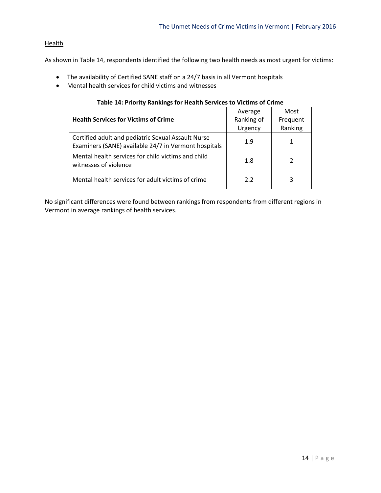# **Health**

As shown in Table 14, respondents identified the following two health needs as most urgent for victims:

- The availability of Certified SANE staff on a 24/7 basis in all Vermont hospitals
- Mental health services for child victims and witnesses

| Table 14: Priority Rankings for Health Services to Victims of Crime                                        |            |          |  |  |
|------------------------------------------------------------------------------------------------------------|------------|----------|--|--|
|                                                                                                            | Average    | Most     |  |  |
| <b>Health Services for Victims of Crime</b>                                                                | Ranking of | Frequent |  |  |
|                                                                                                            | Urgency    | Ranking  |  |  |
| Certified adult and pediatric Sexual Assault Nurse<br>Examiners (SANE) available 24/7 in Vermont hospitals | 1.9        | 1        |  |  |
| Mental health services for child victims and child<br>witnesses of violence                                | 1.8        | 2        |  |  |
| Mental health services for adult victims of crime                                                          | 2.2        | 3        |  |  |

# No significant differences were found between rankings from respondents from different regions in Vermont in average rankings of health services.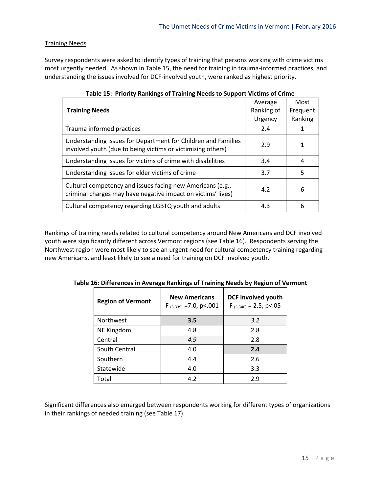# Training Needs

Survey respondents were asked to identify types of training that persons working with crime victims most urgently needed. As shown in Table 15, the need for training in trauma-informed practices, and understanding the issues involved for DCF-involved youth, were ranked as highest priority.

|                                                                                                                              | Average    | Most     |
|------------------------------------------------------------------------------------------------------------------------------|------------|----------|
| <b>Training Needs</b>                                                                                                        | Ranking of | Frequent |
|                                                                                                                              | Urgency    | Ranking  |
| Trauma informed practices                                                                                                    | 2.4        |          |
| Understanding issues for Department for Children and Families<br>involved youth (due to being victims or victimizing others) | 2.9        |          |
| Understanding issues for victims of crime with disabilities                                                                  | 3.4        | 4        |
| Understanding issues for elder victims of crime                                                                              | 3.7        | 5        |
| Cultural competency and issues facing new Americans (e.g.,<br>criminal charges may have negative impact on victims' lives)   | 4.2        | 6        |
| Cultural competency regarding LGBTQ youth and adults                                                                         | 4.3        | 6        |

Rankings of training needs related to cultural competency around New Americans and DCF involved youth were significantly different across Vermont regions (see Table 16). Respondents serving the Northwest region were most likely to see an urgent need for cultural competency training regarding new Americans, and least likely to see a need for training on DCF involved youth.

| <b>Region of Vermont</b> | <b>New Americans</b><br>$F_{(5,339)} = 7.0$ , p<.001 | <b>DCF involved youth</b><br>$F_{(5,340)} = 2.5$ , p<.05 |
|--------------------------|------------------------------------------------------|----------------------------------------------------------|
| Northwest                | 3.5                                                  | 3.2                                                      |
| NE Kingdom               | 4.8                                                  | 2.8                                                      |
| Central                  | 4.9                                                  | 2.8                                                      |
| South Central            | 4.0                                                  | 2.4                                                      |
| Southern                 | 4.4                                                  | 2.6                                                      |
| Statewide                | 4.0                                                  | 3.3                                                      |
| Total                    | 4.2                                                  | 2.9                                                      |

**Table 16: Differences in Average Rankings of Training Needs by Region of Vermont**

Significant differences also emerged between respondents working for different types of organizations in their rankings of needed training (see Table 17).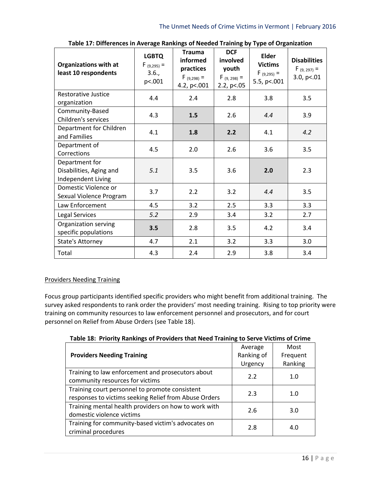| <b>Organizations with at</b><br>least 10 respondents            | <b>LGBTQ</b><br>$F_{(9,295)} =$<br>3.6.,<br>p<.001 | <b>Trauma</b><br>informed<br>practices<br>$F(9,298) =$<br>4.2, p <. 001 | <b>DCF</b><br>involved<br>youth<br>$F(9, 298) =$<br>2.2, $p<05$ | <b>Elder</b><br><b>Victims</b><br>$F_{(9,295)} =$<br>5.5, p <. 001 | <b>Disabilities</b><br>$F_{(9, 297)} =$<br>3.0, $p<.01$ |
|-----------------------------------------------------------------|----------------------------------------------------|-------------------------------------------------------------------------|-----------------------------------------------------------------|--------------------------------------------------------------------|---------------------------------------------------------|
| <b>Restorative Justice</b><br>organization                      | 4.4                                                | 2.4                                                                     | 2.8                                                             | 3.8                                                                | 3.5                                                     |
| Community-Based<br>Children's services                          | 4.3                                                | 1.5                                                                     | 2.6                                                             | 4.4                                                                | 3.9                                                     |
| Department for Children<br>and Families                         | 4.1                                                | 1.8                                                                     | 2.2                                                             | 4.1                                                                | 4.2                                                     |
| Department of<br>Corrections                                    | 4.5                                                | 2.0                                                                     | 2.6                                                             | 3.6                                                                | 3.5                                                     |
| Department for<br>Disabilities, Aging and<br>Independent Living | 5.1                                                | 3.5                                                                     | 3.6                                                             | 2.0                                                                | 2.3                                                     |
| Domestic Violence or<br>Sexual Violence Program                 | 3.7                                                | 2.2                                                                     | 3.2                                                             | 4.4                                                                | 3.5                                                     |
| Law Enforcement                                                 | 4.5                                                | 3.2                                                                     | 2.5                                                             | 3.3                                                                | 3.3                                                     |
| <b>Legal Services</b>                                           | 5.2                                                | 2.9                                                                     | 3.4                                                             | 3.2                                                                | 2.7                                                     |
| Organization serving<br>specific populations                    | 3.5                                                | 2.8                                                                     | 3.5                                                             | 4.2                                                                | 3.4                                                     |
| <b>State's Attorney</b>                                         | 4.7                                                | 2.1                                                                     | 3.2                                                             | 3.3                                                                | 3.0                                                     |
| Total                                                           | 4.3                                                | 2.4                                                                     | 2.9                                                             | 3.8                                                                | 3.4                                                     |

**Table 17: Differences in Average Rankings of Needed Training by Type of Organization**

# Providers Needing Training

Focus group participants identified specific providers who might benefit from additional training. The survey asked respondents to rank order the providers' most needing training. Rising to top priority were training on community resources to law enforcement personnel and prosecutors, and for court personnel on Relief from Abuse Orders (see Table 18).

| 18002201110110                                        |            |          |  |  |
|-------------------------------------------------------|------------|----------|--|--|
|                                                       | Average    | Most     |  |  |
| <b>Providers Needing Training</b>                     | Ranking of | Frequent |  |  |
|                                                       | Urgency    | Ranking  |  |  |
| Training to law enforcement and prosecutors about     | 2.2        | 1.0      |  |  |
| community resources for victims                       |            |          |  |  |
| Training court personnel to promote consistent        | 2.3        | 1.0      |  |  |
| responses to victims seeking Relief from Abuse Orders |            |          |  |  |
| Training mental health providers on how to work with  | 2.6        | 3.0      |  |  |
| domestic violence victims                             |            |          |  |  |
| Training for community-based victim's advocates on    | 2.8        | 4.0      |  |  |
| criminal procedures                                   |            |          |  |  |

**Table 18: Priority Rankings of Providers that Need Training to Serve Victims of Crime**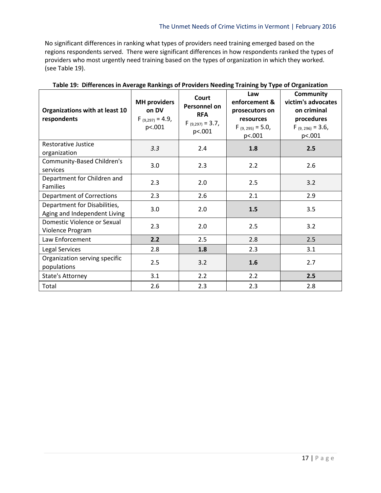No significant differences in ranking what types of providers need training emerged based on the regions respondents served. There were significant differences in how respondents ranked the types of providers who most urgently need training based on the types of organization in which they worked. (see Table 19).

| Organizations with at least 10<br>respondents                | <b>MH</b> providers<br>on DV<br>$F_{(9,297)} = 4.9$<br>p<.001 | Court<br><b>Personnel on</b><br><b>RFA</b><br>$F_{(9,297)} = 3.7$ ,<br>p<.001 | Law<br>enforcement &<br>prosecutors on<br>resources<br>$F_{(9, 295)} = 5.0$<br>p<.001 | <b>Community</b><br>victim's advocates<br>on criminal<br>procedures<br>$F(9, 296) = 3.6$<br>p<.001 |
|--------------------------------------------------------------|---------------------------------------------------------------|-------------------------------------------------------------------------------|---------------------------------------------------------------------------------------|----------------------------------------------------------------------------------------------------|
| Restorative Justice<br>organization                          | 3.3                                                           | 2.4                                                                           | 1.8                                                                                   | 2.5                                                                                                |
| <b>Community-Based Children's</b><br>services                | 3.0                                                           | 2.3                                                                           | 2.2                                                                                   | 2.6                                                                                                |
| Department for Children and<br><b>Families</b>               | 2.3                                                           | 2.0                                                                           | 2.5                                                                                   | 3.2                                                                                                |
| Department of Corrections                                    | 2.3                                                           | 2.6                                                                           | 2.1                                                                                   | 2.9                                                                                                |
| Department for Disabilities,<br>Aging and Independent Living | 3.0                                                           | 2.0                                                                           | 1.5                                                                                   | 3.5                                                                                                |
| Domestic Violence or Sexual<br>Violence Program              | 2.3                                                           | 2.0                                                                           | 2.5                                                                                   | 3.2                                                                                                |
| Law Enforcement                                              | 2.2                                                           | 2.5                                                                           | 2.8                                                                                   | 2.5                                                                                                |
| Legal Services                                               | 2.8                                                           | 1.8                                                                           | 2.3                                                                                   | 3.1                                                                                                |
| Organization serving specific<br>populations                 | 2.5                                                           | 3.2                                                                           | 1.6                                                                                   | 2.7                                                                                                |
| State's Attorney                                             | 3.1                                                           | 2.2                                                                           | 2.2                                                                                   | 2.5                                                                                                |
| Total                                                        | 2.6                                                           | 2.3                                                                           | 2.3                                                                                   | 2.8                                                                                                |

**Table 19: Differences in Average Rankings of Providers Needing Training by Type of Organization**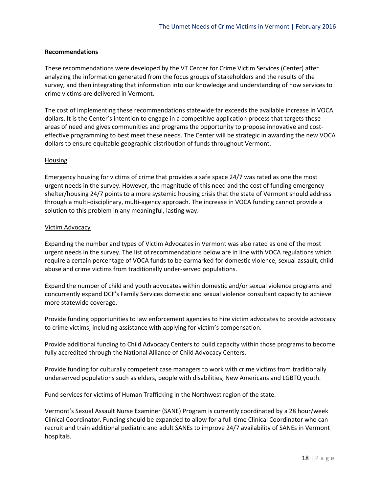#### **Recommendations**

These recommendations were developed by the VT Center for Crime Victim Services (Center) after analyzing the information generated from the focus groups of stakeholders and the results of the survey, and then integrating that information into our knowledge and understanding of how services to crime victims are delivered in Vermont.

The cost of implementing these recommendations statewide far exceeds the available increase in VOCA dollars. It is the Center's intention to engage in a competitive application process that targets these areas of need and gives communities and programs the opportunity to propose innovative and costeffective programming to best meet these needs. The Center will be strategic in awarding the new VOCA dollars to ensure equitable geographic distribution of funds throughout Vermont.

#### Housing

Emergency housing for victims of crime that provides a safe space 24/7 was rated as one the most urgent needs in the survey. However, the magnitude of this need and the cost of funding emergency shelter/housing 24/7 points to a more systemic housing crisis that the state of Vermont should address through a multi-disciplinary, multi-agency approach. The increase in VOCA funding cannot provide a solution to this problem in any meaningful, lasting way.

#### Victim Advocacy

Expanding the number and types of Victim Advocates in Vermont was also rated as one of the most urgent needs in the survey. The list of recommendations below are in line with VOCA regulations which require a certain percentage of VOCA funds to be earmarked for domestic violence, sexual assault, child abuse and crime victims from traditionally under-served populations.

Expand the number of child and youth advocates within domestic and/or sexual violence programs and concurrently expand DCF's Family Services domestic and sexual violence consultant capacity to achieve more statewide coverage.

Provide funding opportunities to law enforcement agencies to hire victim advocates to provide advocacy to crime victims, including assistance with applying for victim's compensation.

Provide additional funding to Child Advocacy Centers to build capacity within those programs to become fully accredited through the National Alliance of Child Advocacy Centers.

Provide funding for culturally competent case managers to work with crime victims from traditionally underserved populations such as elders, people with disabilities, New Americans and LGBTQ youth.

Fund services for victims of Human Trafficking in the Northwest region of the state.

Vermont's Sexual Assault Nurse Examiner (SANE) Program is currently coordinated by a 28 hour/week Clinical Coordinator. Funding should be expanded to allow for a full-time Clinical Coordinator who can recruit and train additional pediatric and adult SANEs to improve 24/7 availability of SANEs in Vermont hospitals.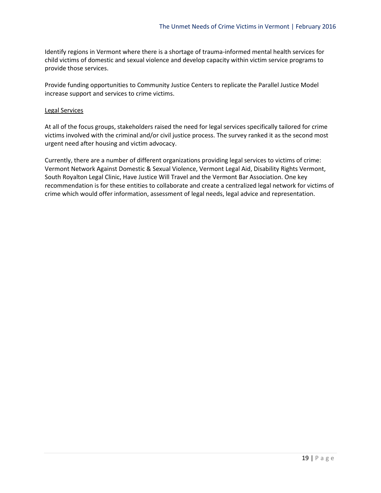Identify regions in Vermont where there is a shortage of trauma-informed mental health services for child victims of domestic and sexual violence and develop capacity within victim service programs to provide those services.

Provide funding opportunities to Community Justice Centers to replicate the Parallel Justice Model increase support and services to crime victims.

#### Legal Services

At all of the focus groups, stakeholders raised the need for legal services specifically tailored for crime victims involved with the criminal and/or civil justice process. The survey ranked it as the second most urgent need after housing and victim advocacy.

Currently, there are a number of different organizations providing legal services to victims of crime: Vermont Network Against Domestic & Sexual Violence, Vermont Legal Aid, Disability Rights Vermont, South Royalton Legal Clinic, Have Justice Will Travel and the Vermont Bar Association. One key recommendation is for these entities to collaborate and create a centralized legal network for victims of crime which would offer information, assessment of legal needs, legal advice and representation.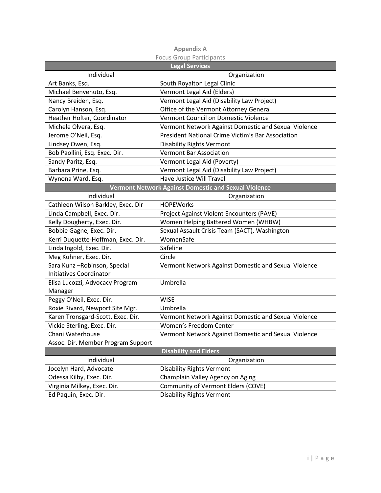|                                    | <b>Legal Services</b>                                |
|------------------------------------|------------------------------------------------------|
| Individual                         | Organization                                         |
| Art Banks, Esq.                    | South Royalton Legal Clinic                          |
| Michael Benvenuto, Esq.            | Vermont Legal Aid (Elders)                           |
| Nancy Breiden, Esq.                | Vermont Legal Aid (Disability Law Project)           |
| Carolyn Hanson, Esq.               | Office of the Vermont Attorney General               |
| Heather Holter, Coordinator        | Vermont Council on Domestic Violence                 |
| Michele Olvera, Esq.               | Vermont Network Against Domestic and Sexual Violence |
| Jerome O'Neil, Esq.                | President National Crime Victim's Bar Association    |
| Lindsey Owen, Esq.                 | <b>Disability Rights Vermont</b>                     |
| Bob Paollini, Esq. Exec. Dir.      | <b>Vermont Bar Association</b>                       |
| Sandy Paritz, Esq.                 | Vermont Legal Aid (Poverty)                          |
| Barbara Prine, Esq.                | Vermont Legal Aid (Disability Law Project)           |
| Wynona Ward, Esq.                  | Have Justice Will Travel                             |
|                                    | Vermont Network Against Domestic and Sexual Violence |
| Individual                         | Organization                                         |
| Cathleen Wilson Barkley, Exec. Dir | <b>HOPEWorks</b>                                     |
| Linda Campbell, Exec. Dir.         | Project Against Violent Encounters (PAVE)            |
| Kelly Dougherty, Exec. Dir.        | Women Helping Battered Women (WHBW)                  |
| Bobbie Gagne, Exec. Dir.           | Sexual Assault Crisis Team (SACT), Washington        |
| Kerri Duquette-Hoffman, Exec. Dir. | WomenSafe                                            |
| Linda Ingold, Exec. Dir.           | Safeline                                             |
| Meg Kuhner, Exec. Dir.             | Circle                                               |
| Sara Kunz-Robinson, Special        | Vermont Network Against Domestic and Sexual Violence |
| <b>Initiatives Coordinator</b>     |                                                      |
| Elisa Lucozzi, Advocacy Program    | Umbrella                                             |
| Manager                            |                                                      |
| Peggy O'Neil, Exec. Dir.           | <b>WISE</b>                                          |
| Roxie Rivard, Newport Site Mgr.    | Umbrella                                             |
| Karen Tronsgard-Scott, Exec. Dir.  | Vermont Network Against Domestic and Sexual Violence |
| Vickie Sterling, Exec. Dir.        | Women's Freedom Center                               |
| Chani Waterhouse                   | Vermont Network Against Domestic and Sexual Violence |
| Assoc. Dir. Member Program Support |                                                      |
|                                    | <b>Disability and Elders</b>                         |
| Individual                         | Organization                                         |
| Jocelyn Hard, Advocate             | <b>Disability Rights Vermont</b>                     |
| Odessa Kilby, Exec. Dir.           | Champlain Valley Agency on Aging                     |
| Virginia Milkey, Exec. Dir.        | Community of Vermont Elders (COVE)                   |
| Ed Paquin, Exec. Dir.              | <b>Disability Rights Vermont</b>                     |

| <b>Appendix A</b> |                          |
|-------------------|--------------------------|
|                   | Focus Group Participants |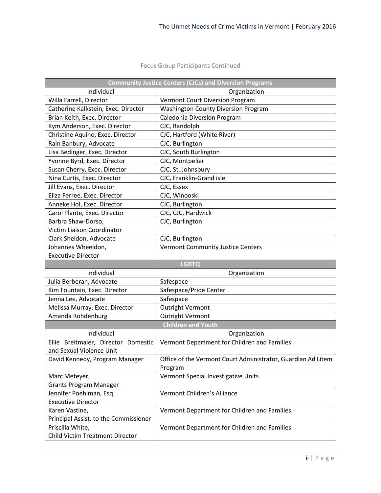|                                                            | <b>Community Justice Centers (CJCs) and Diversion Programs</b> |
|------------------------------------------------------------|----------------------------------------------------------------|
| Individual                                                 | Organization                                                   |
| Willa Farrell, Director                                    | Vermont Court Diversion Program                                |
| Catherine Kalkstein, Exec. Director                        | <b>Washington County Diversion Program</b>                     |
| Brian Keith, Exec. Director                                | <b>Caledonia Diversion Program</b>                             |
| Kym Anderson, Exec. Director                               | CJC, Randolph                                                  |
| Christine Aquino, Exec. Director                           | CJC, Hartford (White River)                                    |
| Rain Banbury, Advocate                                     | CJC, Burlington                                                |
| Lisa Bedinger, Exec. Director                              | CJC, South Burlington                                          |
| Yvonne Byrd, Exec. Director                                | CJC, Montpelier                                                |
| Susan Cherry, Exec. Director                               | CJC, St. Johnsbury                                             |
| Nina Curtis, Exec. Director                                | CJC, Franklin-Grand isle                                       |
| Jill Evans, Exec. Director                                 | CJC, Essex                                                     |
| Eliza Ferree, Exec. Director                               | CJC, Winooski                                                  |
| Anneke Hol, Exec. Director                                 | CJC, Burlington                                                |
| Carol Plante, Exec. Director                               | CJC, CJC, Hardwick                                             |
| Barbra Shaw-Dorso,                                         | CJC, Burlington                                                |
| Victim Liaison Coordinator                                 |                                                                |
| Clark Sheldon, Advocate                                    | CJC, Burlington                                                |
| Johannes Wheeldon,                                         | Vermont Community Justice Centers                              |
| <b>Executive Director</b>                                  |                                                                |
|                                                            | <b>LGBTQ</b>                                                   |
| Individual                                                 | Organization                                                   |
| Julia Berberan, Advocate                                   | Safespace                                                      |
| Kim Fountain, Exec. Director                               | Safespace/Pride Center                                         |
| Jenna Lee, Advocate                                        |                                                                |
|                                                            | Safespace                                                      |
| Melissa Murray, Exec. Director                             | <b>Outright Vermont</b>                                        |
| Amanda Rohdenburg                                          | <b>Outright Vermont</b>                                        |
|                                                            | <b>Children and Youth</b>                                      |
| Individual                                                 | Organization                                                   |
| Ellie Breitmaier, Director Domestic                        | Vermont Department for Children and Families                   |
| and Sexual Violence Unit                                   |                                                                |
| David Kennedy, Program Manager                             | Office of the Vermont Court Administrator, Guardian Ad Litem   |
|                                                            | Program                                                        |
| Marc Meteyer,                                              | Vermont Special Investigative Units                            |
| <b>Grants Program Manager</b>                              |                                                                |
| Jennifer Poehlman, Esq.                                    | Vermont Children's Alliance                                    |
| <b>Executive Director</b>                                  |                                                                |
| Karen Vastine,                                             | Vermont Department for Children and Families                   |
| Principal Assist. to the Commissioner                      |                                                                |
| Priscilla White,<br><b>Child Victim Treatment Director</b> | Vermont Department for Children and Families                   |

# Focus Group Participants Continued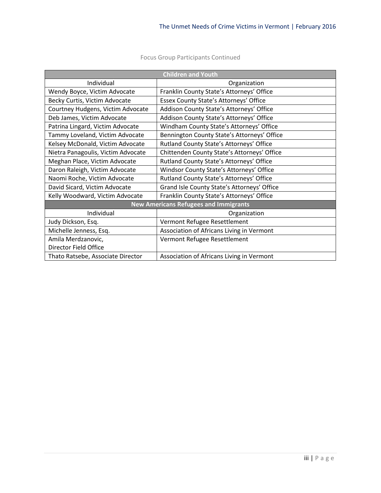| <b>Children and Youth</b>                    |                                             |  |
|----------------------------------------------|---------------------------------------------|--|
| Individual                                   | Organization                                |  |
| Wendy Boyce, Victim Advocate                 | Franklin County State's Attorneys' Office   |  |
| Becky Curtis, Victim Advocate                | Essex County State's Attorneys' Office      |  |
| Courtney Hudgens, Victim Advocate            | Addison County State's Attorneys' Office    |  |
| Deb James, Victim Advocate                   | Addison County State's Attorneys' Office    |  |
| Patrina Lingard, Victim Advocate             | Windham County State's Attorneys' Office    |  |
| Tammy Loveland, Victim Advocate              | Bennington County State's Attorneys' Office |  |
| Kelsey McDonald, Victim Advocate             | Rutland County State's Attorneys' Office    |  |
| Nietra Panagoulis, Victim Advocate           | Chittenden County State's Attorneys' Office |  |
| Meghan Place, Victim Advocate                | Rutland County State's Attorneys' Office    |  |
| Daron Raleigh, Victim Advocate               | Windsor County State's Attorneys' Office    |  |
| Naomi Roche, Victim Advocate                 | Rutland County State's Attorneys' Office    |  |
| David Sicard, Victim Advocate                | Grand Isle County State's Attorneys' Office |  |
| Kelly Woodward, Victim Advocate              | Franklin County State's Attorneys' Office   |  |
| <b>New Americans Refugees and Immigrants</b> |                                             |  |
| Individual                                   | Organization                                |  |
| Judy Dickson, Esq.                           | Vermont Refugee Resettlement                |  |
| Michelle Jenness, Esq.                       | Association of Africans Living in Vermont   |  |
| Amila Merdzanovic,                           | Vermont Refugee Resettlement                |  |
| Director Field Office                        |                                             |  |
| Thato Ratsebe, Associate Director            | Association of Africans Living in Vermont   |  |

Focus Group Participants Continued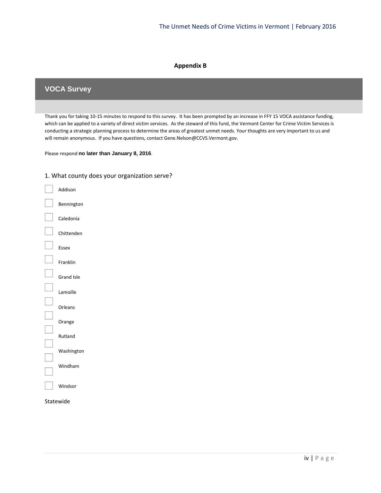#### **Appendix B**

# **VOCA Survey**

Thank you for taking 10-15 minutes to respond to this survey. It has been prompted by an increase in FFY 15 VOCA assistance funding, which can be applied to a variety of direct victim services. As the steward of this fund, the Vermont Center for Crime Victim Services is conducting a strategic planning process to determine the areas of greatest unmet needs. Your thoughts are very important to us and will remain anonymous. If you have questions, contact Gene.Nelson@CCVS.Vermont.gov.

Please respond **no later than January 8, 2016**.



1. What county does your organization serve?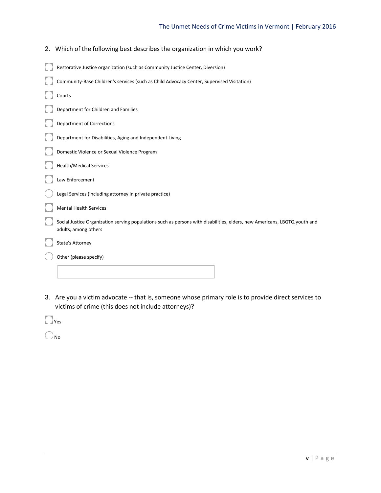# The Unmet Needs of Crime Victims in Vermont | February 2016

| 2. Which of the following best describes the organization in which you work?                                                                      |
|---------------------------------------------------------------------------------------------------------------------------------------------------|
| Restorative Justice organization (such as Community Justice Center, Diversion)                                                                    |
| Community-Base Children's services (such as Child Advocacy Center, Supervised Visitation)                                                         |
| Courts                                                                                                                                            |
| Department for Children and Families                                                                                                              |
| <b>Department of Corrections</b>                                                                                                                  |
| Department for Disabilities, Aging and Independent Living                                                                                         |
| Domestic Violence or Sexual Violence Program                                                                                                      |
| <b>Health/Medical Services</b>                                                                                                                    |
| Law Enforcement                                                                                                                                   |
| Legal Services (including attorney in private practice)                                                                                           |
| <b>Mental Health Services</b>                                                                                                                     |
| Social Justice Organization serving populations such as persons with disabilities, elders, new Americans, LBGTQ youth and<br>adults, among others |
| <b>State's Attorney</b>                                                                                                                           |
| Other (please specify)                                                                                                                            |
|                                                                                                                                                   |

3. Are you a victim advocate -- that is, someone whose primary role is to provide direct services to victims of crime (this does not include attorneys)?

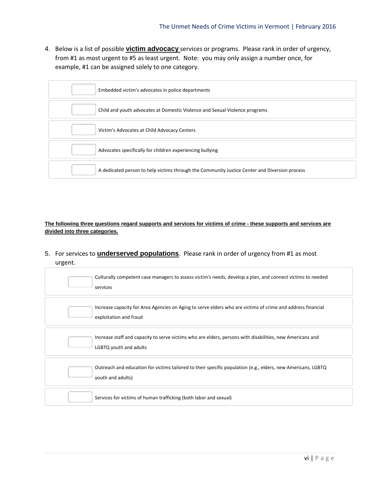4. Below is a list of possible **victim advocacy** services or programs. Please rank in order of urgency, from #1 as most urgent to #5 as least urgent. Note: you may only assign a number once, for example, #1 can be assigned solely to one category.



**The following three questions regard supports and services for victims of crime - these supports and services are divided into three categories.**

5. For services to **underserved populations**. Please rank in order of urgency from #1 as most urgent.

| Culturally competent case managers to assess victim's needs, develop a plan, and connect victims to needed<br>services                |
|---------------------------------------------------------------------------------------------------------------------------------------|
| Increase capacity for Area Agencies on Aging to serve elders who are victims of crime and address financial<br>exploitation and fraud |
| Increase staff and capacity to serve victims who are elders, persons with disabilities, new Americans and<br>LGBTQ youth and adults   |
| Outreach and education for victims tailored to their specific population (e.g., elders, new Americans, LGBTQ<br>youth and adults)     |
| Services for victims of human trafficking (both labor and sexual)                                                                     |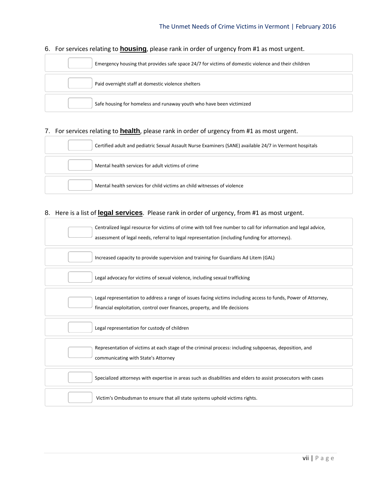# Emergency housing that provides safe space 24/7 for victims of domestic violence and their children Paid overnight staff at domestic violence shelters Safe housing for homeless and runaway youth who have been victimized

# 6. For services relating to **housing**, please rank in order of urgency from #1 as most urgent.

# 7. For services relating to **health**, please rank in order of urgency from #1 as most urgent.

| Certified adult and pediatric Sexual Assault Nurse Examiners (SANE) available 24/7 in Vermont hospitals |
|---------------------------------------------------------------------------------------------------------|
| Mental health services for adult victims of crime                                                       |
| Mental health services for child victims an child witnesses of violence                                 |

# 8. Here is a list of **legal services**. Please rank in order of urgency, from #1 as most urgent.

| Centralized legal resource for victims of crime with toll free number to call for information and legal advice,<br>assessment of legal needs, referral to legal representation (including funding for attorneys). |
|-------------------------------------------------------------------------------------------------------------------------------------------------------------------------------------------------------------------|
| Increased capacity to provide supervision and training for Guardians Ad Litem (GAL)                                                                                                                               |
| Legal advocacy for victims of sexual violence, including sexual trafficking                                                                                                                                       |
| Legal representation to address a range of issues facing victims including access to funds, Power of Attorney,<br>financial exploitation, control over finances, property, and life decisions                     |
| Legal representation for custody of children                                                                                                                                                                      |
| Representation of victims at each stage of the criminal process: including subpoenas, deposition, and<br>communicating with State's Attorney                                                                      |
| Specialized attorneys with expertise in areas such as disabilities and elders to assist prosecutors with cases                                                                                                    |
| Victim's Ombudsman to ensure that all state systems uphold victims rights.                                                                                                                                        |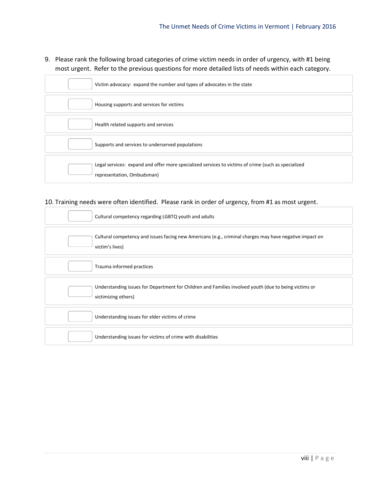9. Please rank the following broad categories of crime victim needs in order of urgency, with #1 being most urgent. Refer to the previous questions for more detailed lists of needs within each category.

| Victim advocacy: expand the number and types of advocates in the state                                                            |
|-----------------------------------------------------------------------------------------------------------------------------------|
| Housing supports and services for victims                                                                                         |
| Health related supports and services                                                                                              |
| Supports and services to underserved populations                                                                                  |
| Legal services: expand and offer more specialized services to victims of crime (such as specialized<br>representation, Ombudsman) |

# 10. Training needs were often identified. Please rank in order of urgency, from #1 as most urgent.

| Cultural competency regarding LGBTQ youth and adults                                                                         |
|------------------------------------------------------------------------------------------------------------------------------|
| Cultural competency and issues facing new Americans (e.g., criminal charges may have negative impact on<br>victim's lives)   |
| Trauma informed practices                                                                                                    |
| Understanding issues for Department for Children and Families involved youth (due to being victims or<br>victimizing others) |
| Understanding issues for elder victims of crime                                                                              |
| Understanding issues for victims of crime with disabilities                                                                  |